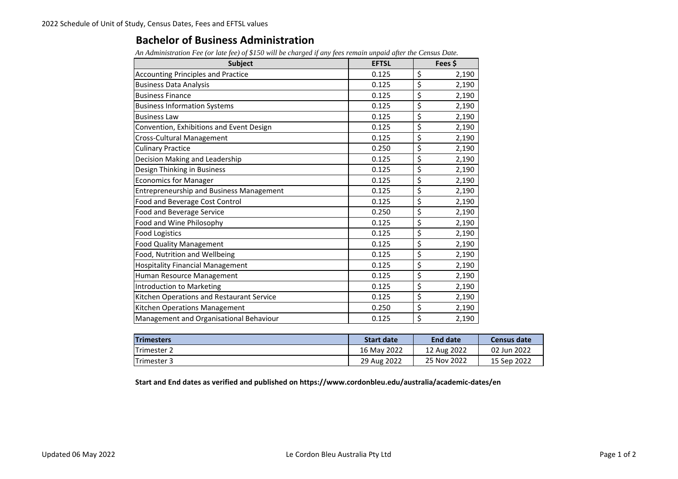## **Bachelor of Business Administration**

*An Administration Fee (or late fee) of \$150 will be charged if any fees remain unpaid after the Census Date.*

| <b>Subject</b>                                  | <b>EFTSL</b> |    | Fees \$ |  |
|-------------------------------------------------|--------------|----|---------|--|
| <b>Accounting Principles and Practice</b>       | 0.125        | \$ | 2,190   |  |
| <b>Business Data Analysis</b>                   | 0.125        | \$ | 2,190   |  |
| <b>Business Finance</b>                         | 0.125        | \$ | 2,190   |  |
| <b>Business Information Systems</b>             | 0.125        | \$ | 2,190   |  |
| <b>Business Law</b>                             | 0.125        | \$ | 2,190   |  |
| Convention, Exhibitions and Event Design        | 0.125        | \$ | 2,190   |  |
| Cross-Cultural Management                       | 0.125        | \$ | 2,190   |  |
| <b>Culinary Practice</b>                        | 0.250        | \$ | 2,190   |  |
| Decision Making and Leadership                  | 0.125        | \$ | 2,190   |  |
| Design Thinking in Business                     | 0.125        | \$ | 2,190   |  |
| <b>Economics for Manager</b>                    | 0.125        | \$ | 2,190   |  |
| <b>Entrepreneurship and Business Management</b> | 0.125        | \$ | 2,190   |  |
| Food and Beverage Cost Control                  | 0.125        | \$ | 2,190   |  |
| Food and Beverage Service                       | 0.250        | \$ | 2,190   |  |
| Food and Wine Philosophy                        | 0.125        | \$ | 2,190   |  |
| <b>Food Logistics</b>                           | 0.125        | \$ | 2,190   |  |
| <b>Food Quality Management</b>                  | 0.125        | \$ | 2,190   |  |
| Food, Nutrition and Wellbeing                   | 0.125        | \$ | 2,190   |  |
| <b>Hospitality Financial Management</b>         | 0.125        | \$ | 2,190   |  |
| Human Resource Management                       | 0.125        | \$ | 2,190   |  |
| Introduction to Marketing                       | 0.125        | \$ | 2,190   |  |
| Kitchen Operations and Restaurant Service       | 0.125        | \$ | 2,190   |  |
| Kitchen Operations Management                   | 0.250        | \$ | 2,190   |  |
| Management and Organisational Behaviour         | 0.125        | \$ | 2,190   |  |

| <b>Trimesters</b>   | <b>Start date</b> | End date    | Census date |
|---------------------|-------------------|-------------|-------------|
| <b>ITrimester 2</b> | 16 May 2022       | 12 Aug 2022 | 02 Jun 2022 |
| <b>Trimester 3</b>  | 29 Aug 2022       | 25 Nov 2022 | 15 Sep 2022 |

**Start and End dates as verified and published on https://www.cordonbleu.edu/australia/academic‐dates/en**